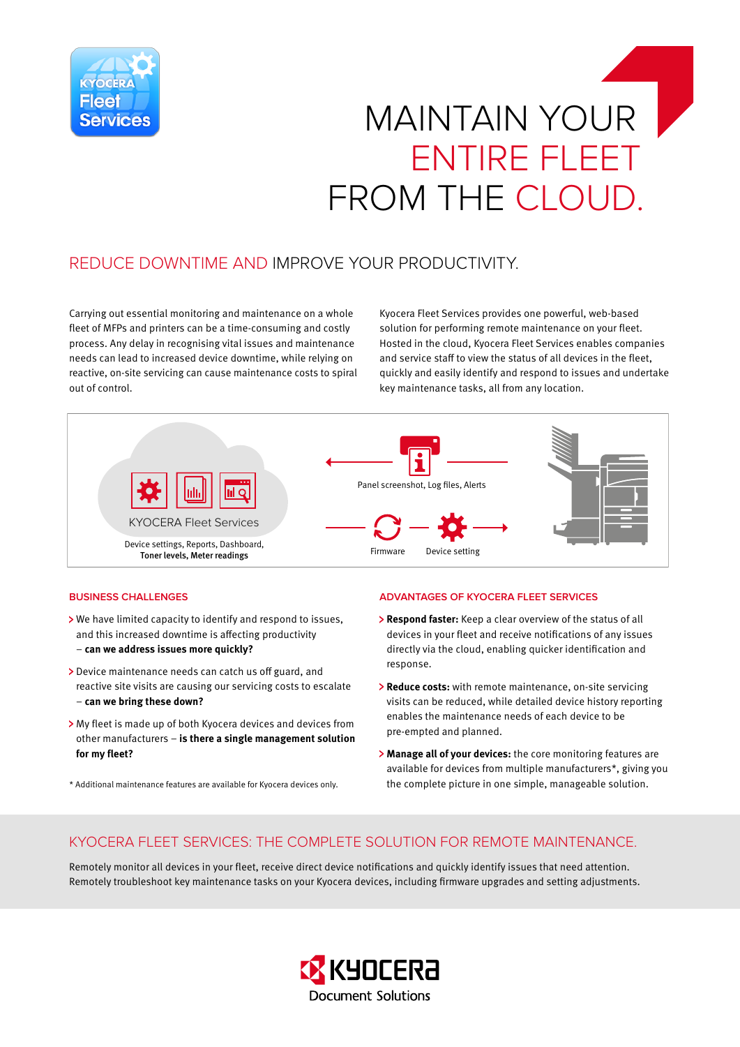

# MAINTAIN YOUR ENTIRE FLEET FROM THE CLOUD.

## REDUCE DOWNTIME AND IMPROVE YOUR PRODUCTIVITY.

Carrying out essential monitoring and maintenance on a whole fleet of MFPs and printers can be a time-consuming and costly process. Any delay in recognising vital issues and maintenance needs can lead to increased device downtime, while relying on reactive, on-site servicing can cause maintenance costs to spiral out of control.

Kyocera Fleet Services provides one powerful, web-based solution for performing remote maintenance on your fleet. Hosted in the cloud, Kyocera Fleet Services enables companies and service staff to view the status of all devices in the fleet, quickly and easily identify and respond to issues and undertake key maintenance tasks, all from any location.



#### **BUSINESS CHALLENGES**

- We have limited capacity to identify and respond to issues, and this increased downtime is affecting productivity – **can we address issues more quickly?**
- > Device maintenance needs can catch us off guard, and reactive site visits are causing our servicing costs to escalate – **can we bring these down?**
- My fleet is made up of both Kyocera devices and devices from other manufacturers – **is there a single management solution for my fleet?**
- \* Additional maintenance features are available for Kyocera devices only.

#### **ADVANTAGES OF KYOCERA FLEET SERVICES**

- **Respond faster:** Keep a clear overview of the status of all devices in your fleet and receive notifications of any issues directly via the cloud, enabling quicker identification and response.
- **Reduce costs:** with remote maintenance, on-site servicing visits can be reduced, while detailed device history reporting enables the maintenance needs of each device to be pre-empted and planned.
- **Manage all of your devices:** the core monitoring features are available for devices from multiple manufacturers\*, giving you the complete picture in one simple, manageable solution.

### KYOCERA FLEET SERVICES: THE COMPLETE SOLUTION FOR REMOTE MAINTENANCE.

Remotely monitor all devices in your fleet, receive direct device notifications and quickly identify issues that need attention. Remotely troubleshoot key maintenance tasks on your Kyocera devices, including firmware upgrades and setting adjustments.